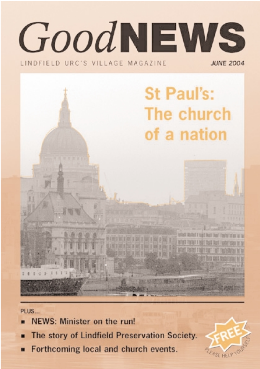## GoodNEWS LINDFIELD URC'S VILLAGE MAGAZINE **JUNE 2004**



PLUS...

- NEWS: Minister on the run!
- The story of Lindfield Preservation Society.
- Forthcoming local and church events.

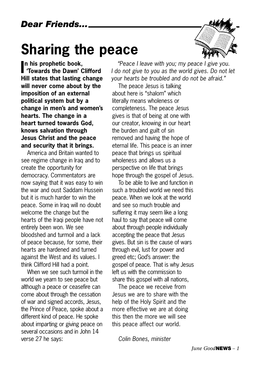## **Sharing the peace**



**I 'Towards the Dawn' Clifford n his prophetic book, Hill states that lasting change will never come about by the imposition of an external political system but by a change in men's and women's hearts. The change in a heart turned towards God, knows salvation through Jesus Christ and the peace and security that it brings.**

America and Britain wanted to see regime change in Iraq and to create the opportunity for democracy. Commentators are now saying that it was easy to win the war and oust Saddam Hussein but it is much harder to win the peace. Some in Iraq will no doubt welcome the change but the hearts of the Iraqi people have not entirely been won. We see bloodshed and turmoil and a lack of peace because, for some, their hearts are hardened and turned against the West and its values. I think Clifford Hill had a point.

When we see such turmoil in the world we yearn to see peace but although a peace or ceasefire can come about through the cessation of war and signed accords, Jesus, the Prince of Peace, spoke about a different kind of peace. He spoke about imparting or giving peace on several occasions and in John 14 verse 27 he says:

*"Peace I leave with you; my peace I give you. I do not give to you as the world gives. Do not let your hearts be troubled and do not be afraid."*

The peace Jesus is talking about here is "shalom" which literally means wholeness or completeness. The peace Jesus gives is that of being at one with our creator, knowing in our heart the burden and guilt of sin removed and having the hope of eternal life. This peace is an inner peace that brings us spiritual wholeness and allows us a perspective on life that brings hope through the gospel of Jesus.

To be able to live and function in such a troubled world we need this peace. When we look at the world and see so much trouble and suffering it may seem like a long haul to say that peace will come about through people individually accepting the peace that Jesus gives. But sin is the cause of wars through evil, lust for power and greed etc; God's answer: the gospel of peace. That is why Jesus left us with the commission to share this gospel with all nations,

The peace we receive from Jesus we are to share with the help of the Holy Spirit and the more effective we are at doing this then the more we will see this peace affect our world.

*Colin Bones, minister*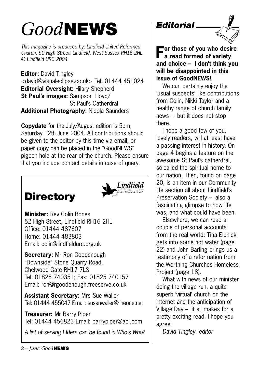## *Good***NEWS**

*This magazine is produced by: Lindfield United Reformed Church, 50 High Street, Lindfield, West Sussex RH16 2HL. © Lindfield URC 2004*

**Editor:** David Tingley <david@visualeclipse.co.uk> Tel: 01444 451024 **Editorial Oversight:** Hilary Shepherd **St Paul's images:** Sampson Lloyd/ St Paul's Catherdral **Additional Photography:** Nicola Saunders

**Copydate** for the July/August edition is 5pm, Saturday 12th June 2004. All contributions should be given to the editor by this time via email, or paper copy can be placed in the "GoodNEWS" pigeon hole at the rear of the church. Please ensure that you include contact details in case of query.





**Minister:** Rev Colin Bones 52 High Street, Lindfield RH16 2HL Office: 01444 487607 Home: 01444 483803 Email: colin@lindfieldurc.org.uk

**Secretary:** Mr Ron Goodenough "Downside" Stone Quarry Road, Chelwood Gate RH17 7LS Tel: 01825 740351; Fax: 01825 740157 Email: ron@rgoodenough.freeserve.co.uk

**Assistant Secretary:** Mrs Sue Waller Tel: 01444 455047 Email: susanwaller@lineone.net

**Treasurer:** Mr Barry Piper Tel: 01444 456823 Email: barrypiper@aol.com

*A list of serving Elders can be found in Who's Who?*





**For those of you who desire a read formed of variety and choice – I don't think you will be disappointed in this issue of GoodNEWS!**

We can certainly enjoy the 'usual suspects' like contributions from Colin, Nikki Taylor and a healthy range of church family news – but it does not stop there.

I hope a good few of you, lovely readers, will at least have a passing interest in history. On page 4 begins a feature on the awesome St Paul's catherdral, so-called the spiritual home to our nation. Then, found on page 20, is an item in our Community life section all about Lindfield's Preservation Society – also a fascinating glimpse to how life was, and what could have been.

Elsewhere, we can read a couple of personal accounts from the real world: Tina Elphick gets into some hot water (page 22) and John Barling brings us a testimony of a reformation from the Worthing Churches Homeless Project (page 18).

What with news of our minister doing the village run, a quite superb 'virtual' church on the internet and the anticipation of Village Day – it all makes for a pretty exciting read. I hope you agree!

*David Tingley, editor*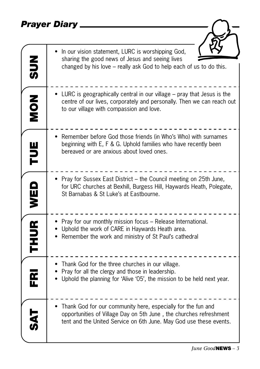### *Prayer Diary*

| $rac{2}{50}$ | In our vision statement, LURC is worshipping God,<br>sharing the good news of Jesus and seeing lives<br>changed by his love – really ask God to help each of us to do this.                              |
|--------------|----------------------------------------------------------------------------------------------------------------------------------------------------------------------------------------------------------|
| NON<br>NON   | • LURC is geographically central in our village – pray that Jesus is the<br>centre of our lives, corporately and personally. Then we can reach out<br>to our village with compassion and love.           |
| FUE          | Remember before God those friends (in Who's Who) with surnames<br>beginning with E, F & G. Uphold families who have recently been<br>bereaved or are anxious about loved ones.                           |
| WED          | Pray for Sussex East District – the Council meeting on 25th June,<br>for URC churches at Bexhill, Burgess Hill, Haywards Heath, Polegate,<br>St Barnabas & St Luke's at Eastbourne.                      |
| <b>THUR</b>  | • Pray for our monthly mission focus – Release International.<br>Uphold the work of CARE in Haywards Heath area.<br>Remember the work and ministry of St Paul's cathedral                                |
| n<br>I       | Thank God for the three churches in our village.<br>Pray for all the clergy and those in leadership.<br>Uphold the planning for 'Alive '05', the mission to be held next year.                           |
|              | Thank God for our community here, especially for the fun and<br>opportunities of Village Day on 5th June, the churches refreshment<br>tent and the United Service on 6th June. May God use these events. |

 $\overline{z}$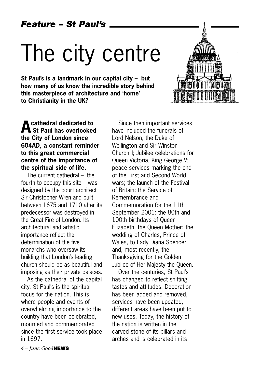*Feature – St Paul's*

## The city centre

**St Paul's is a landmark in our capital city – but how many of us know the incredible story behind this masterpiece of architecture and 'home' to Christianity in the UK?** 



**Acathedral dedicated to St Paul has overlooked the City of London since 604AD, a constant reminder to this great commercial centre of the importance of the spiritual side of life.** 

The current cathedral – the fourth to occupy this site – was designed by the court architect Sir Christopher Wren and built between 1675 and 1710 after its predecessor was destroyed in the Great Fire of London. Its architectural and artistic importance reflect the determination of the five monarchs who oversaw its building that London's leading church should be as beautiful and imposing as their private palaces.

As the cathedral of the capital city, St Paul's is the spiritual focus for the nation. This is where people and events of overwhelming importance to the country have been celebrated, mourned and commemorated since the first service took place in 1697.

Since then important services have included the funerals of Lord Nelson, the Duke of Wellington and Sir Winston Churchill; Jubilee celebrations for Queen Victoria, King George V; peace services marking the end of the First and Second World wars; the launch of the Festival of Britain; the Service of Remembrance and Commemoration for the 11th September 2001: the 80th and 100th birthdays of Queen Elizabeth, the Queen Mother; the wedding of Charles, Prince of Wales, to Lady Diana Spencer and, most recently, the Thanksgiving for the Golden Jubilee of Her Majesty the Queen.

Over the centuries, St Paul's has changed to reflect shifting tastes and attitudes. Decoration has been added and removed, services have been updated, different areas have been put to new uses. Today, the history of the nation is written in the carved stone of its pillars and arches and is celebrated in its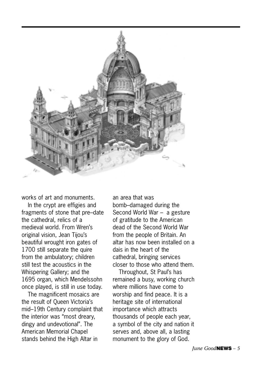

works of art and monuments.

In the crypt are effigies and fragments of stone that pre–date the cathedral, relics of a medieval world. From Wren's original vision, Jean Tijou's beautiful wrought iron gates of 1700 still separate the quire from the ambulatory; children still test the acoustics in the Whispering Gallery; and the 1695 organ, which Mendelssohn once played, is still in use today.

The magnificent mosaics are the result of Queen Victoria's mid–19th Century complaint that the interior was "most dreary, dingy and undevotional". The American Memorial Chapel stands behind the High Altar in

an area that was bomb–damaged during the Second World War – a gesture of gratitude to the American dead of the Second World War from the people of Britain. An altar has now been installed on a dais in the heart of the cathedral, bringing services closer to those who attend them.

Throughout, St Paul's has remained a busy, working church where millions have come to worship and find peace. It is a heritage site of international importance which attracts thousands of people each year, a symbol of the city and nation it serves and, above all, a lasting monument to the glory of God.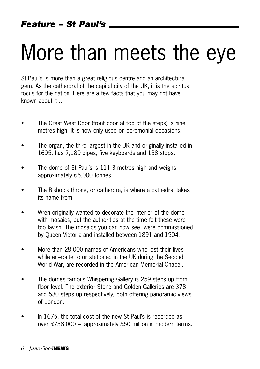## More than meets the eye

St Paul's is more than a great religious centre and an architectural gem. As the catherdral of the capital city of the UK, it is the spiritual focus for the nation. Here are a few facts that you may not have known about it...

- The Great West Door (front door at top of the steps) is nine metres high. It is now only used on ceremonial occasions.
- The organ, the third largest in the UK and originally installed in 1695, has 7,189 pipes, five keyboards and 138 stops.
- The dome of St Paul's is 111.3 metres high and weighs approximately 65,000 tonnes.
- The Bishop's throne, or catherdra, is where a cathedral takes its name from.
- Wren originally wanted to decorate the interior of the dome with mosaics, but the authorities at the time felt these were too lavish. The mosaics you can now see, were commissioned by Queen Victoria and installed between 1891 and 1904.
- More than 28,000 names of Americans who lost their lives while en–route to or stationed in the UK during the Second World War, are recorded in the American Memorial Chapel.
- The domes famous Whispering Gallery is 259 steps up from floor level. The exterior Stone and Golden Galleries are 378 and 530 steps up respectively, both offering panoramic views of London.
- In 1675, the total cost of the new St Paul's is recorded as over £738,000 – approximately £50 million in modern terms.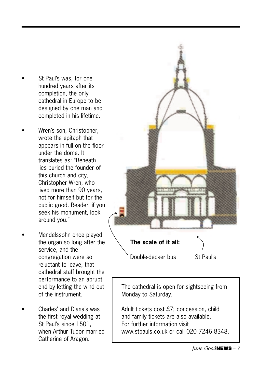- St Paul's was, for one hundred years after its completion, the only cathedral in Europe to be designed by one man and completed in his lifetime.
- Wren's son, Christopher, wrote the epitaph that appears in full on the floor under the dome. It translates as: "Beneath lies buried the founder of this church and city, Christopher Wren, who lived more than 90 years, not for himself but for the public good. Reader, if you seek his monument, look around you."
- Mendelssohn once played the organ so long after the service, and the congregation were so reluctant to leave, that cathedral staff brought the performance to an abrupt end by letting the wind out of the instrument.
- Charles' and Diana's was the first royal wedding at St Paul's since 1501, when Arthur Tudor married Catherine of Aragon.



The cathedral is open for sightseeing from Monday to Saturday.

Adult tickets cost £7; concession, child and family tickets are also available. For further information visit www.stpauls.co.uk or call 020 7246 8348.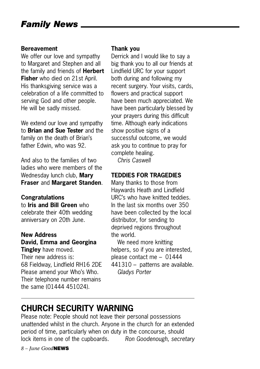#### **Bereavement**

We offer our love and sympathy to Margaret and Stephen and all the family and friends of **Herbert Fisher** who died on 21st April. His thanksgiving service was a celebration of a life committed to serving God and other people. He will be sadly missed.

We extend our love and sympathy to **Brian and Sue Tester** and the family on the death of Brian's father Edwin, who was 92.

And also to the families of two ladies who were members of the Wednesday lunch club, **Mary Fraser** and **Margaret Standen**.

### **Congratulations**

to **Iris and Bill Green** who celebrate their 40th wedding anniversary on 20th June.

#### **New Address David, Emma and Georgina Tingley** have moved.

Their new address is: 68 Fieldway, Lindfield RH16 2DE Please amend your Who's Who. Their telephone number remains the same (01444 451024).

### **Thank you**

Derrick and I would like to say a big thank you to all our friends at Lindfield URC for your support both during and following my recent surgery. Your visits, cards, flowers and practical support have been much appreciated. We have been particularly blessed by your prayers during this difficult time. Although early indications show positive signs of a successful outcome, we would ask you to continue to pray for complete healing. *Chris Caswell*

#### **TEDDIES FOR TRAGEDIES**

Many thanks to those from Haywards Heath and Lindfield URC's who have knitted teddies. In the last six months over 350 have been collected by the local distributor, for sending to deprived regions throughout the world.

We need more knitting helpers, so if you are interested, please contact me – 01444 441310 – patterns are available. *Gladys Porter*

### **CHURCH SECURITY WARNING**

Please note: People should not leave their personal possessions unattended whilst in the church. Anyone in the church for an extended period of time, particularly when on duty in the concourse, should lock items in one of the cupboards. *Ron Goodenough, secretary*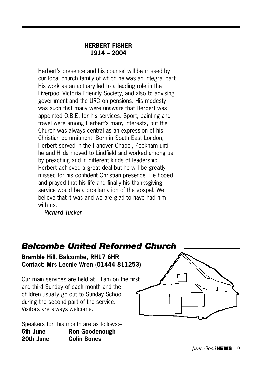### **HERBERT FISHER 1914 – 2004**

Herbert's presence and his counsel will be missed by our local church family of which he was an integral part. His work as an actuary led to a leading role in the Liverpool Victoria Friendly Society, and also to advising government and the URC on pensions. His modesty was such that many were unaware that Herbert was appointed O.B.E. for his services. Sport, painting and travel were among Herbert's many interests, but the Church was always central as an expression of his Christian commitment. Born in South East London, Herbert served in the Hanover Chapel, Peckham until he and Hilda moved to Lindfield and worked among us by preaching and in different kinds of leadership. Herbert achieved a great deal but he will be greatly missed for his confident Christian presence. He hoped and prayed that his life and finally his thanksgiving service would be a proclamation of the gospel. We believe that it was and we are glad to have had him with us.

*Richard Tucker*

### *Balcombe United Reformed Church*

**Bramble Hill, Balcombe, RH17 6HR Contact: Mrs Leonie Wren (01444 811253)**

Our main services are held at 11am on the first and third Sunday of each month and the children usually go out to Sunday School during the second part of the service. Visitors are always welcome.

Speakers for this month are as follows:– **6th June Ron Goodenough 20th June Colin Bones**

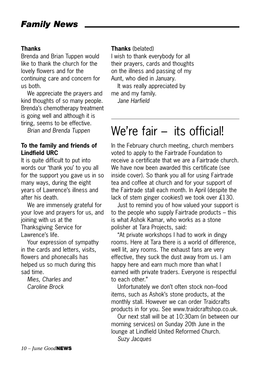### **Thanks**

Brenda and Brian Tuppen would like to thank the church for the lovely flowers and for the continuing care and concern for us both.

We appreciate the prayers and kind thoughts of so many people. Brenda's chemotherapy treatment is going well and although it is tiring, seems to be effective.

*Brian and Brenda Tuppen*

### **To the family and friends of Lindfield URC**

It is quite difficult to put into words our 'thank you' to you all for the support you gave us in so many ways, during the eight years of Lawrence's illness and after his death.

We are immensely grateful for your love and prayers for us, and joining with us at the Thanksgiving Service for Lawrence's life.

Your expression of sympathy in the cards and letters, visits, flowers and phonecalls has helped us so much during this sad time.

*Mies, Charles and Caroline Brock*

### **Thanks** (belated)

I wish to thank everybody for all their prayers, cards and thoughts on the illness and passing of my Aunt, who died in January.

It was really appreciated by me and my family. *Jane Harfield*

### We're fair – its officiall

In the February church meeting, church members voted to apply to the Fairtrade Foundation to receive a certificate that we are a Fairtrade church. We have now been awarded this certificate (see inside cover). So thank you all for using Fairtrade tea and coffee at church and for your support of the Fairtrade stall each month. In April (despite the lack of stem ginger cookies!) we took over £130.

Just to remind you of how valued your support is to the people who supply Fairtrade products – this is what Ashok Kamar, who works as a stone polisher at Tara Projects, said:

"At private workshops I had to work in dingy rooms. Here at Tara there is a world of difference, well lit, airy rooms. The exhaust fans are very effective, they suck the dust away from us. I am happy here and earn much more than what I earned with private traders. Everyone is respectful to each other."

Unfortunately we don't often stock non–food items, such as Ashok's stone products, at the monthly stall. However we can order Traidcrafts products in for you. See www.traidcraftshop.co.uk.

Our next stall will be at 10:30am (in between our morning services) on Sunday 20th June in the lounge at Lindfield United Reformed Church. *Suzy Jacques*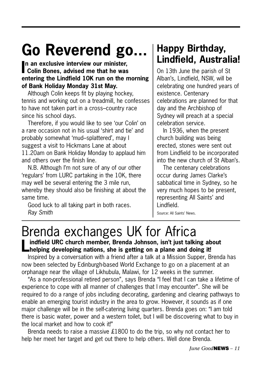## **Go Reverend go...**

**I Colin Bones, advised me that he was n an exclusive interview our minister, entering the Lindfield 10K run on the morning of Bank Holiday Monday 31st May.**

Although Colin keeps fit by playing hockey, tennis and working out on a treadmill, he confesses to have not taken part in a cross–country race since his school days.

Therefore, if you would like to see 'our Colin' on a rare occasion not in his usual 'shirt and tie' and probably somewhat 'mud–splattered', may I suggest a visit to Hickmans Lane at about 11.20am on Bank Holiday Monday to applaud him and others over the finish line.

N.B. Although I'm not sure of any of our other 'regulars' from LURC partaking in the 10K, there may well be several entering the 3 mile run, whereby they should also be finishing at about the same time.

Good luck to all taking part in both races. *Ray Smith*

### **Happy Birthday, Lindfield, Australia!**

On 13th June the parish of St Alban's, Lindfield, NSW, will be celebrating one hundred years of existence. Centenary celebrations are planned for that day and the Archbishop of Sydney will preach at a special celebration service.

In 1936, when the present church building was being erected, stones were sent out from Lindfield to be incorporated into the new church of St Alban's.

The centenary celebrations occur during James Clarke's sabbatical time in Sydney, so he very much hopes to be present, representing All Saints' and Lindfield.

Source: All Saints' News.

## Brenda exchanges UK for Africa<br>Inditield URC church member, Brenda Johnson, isn't just talking about

**Lindfield URC church member, Brenda Johnson, isn't just talking about helping developing nations, she is getting on a plane and doing it!**

Inspired by a conversation with a friend after a talk at a Mission Supper, Brenda has now been selected by Edinburgh-based World Exchange to go on a placement at an orphanage near the village of Likhubula, Malawi, for 12 weeks in the summer.

"As a non-professional retired person", says Brenda "I feel that I can take a lifetime of experience to cope with all manner of challenges that I may encounter". She will be required to do a range of jobs including decorating, gardening and clearing pathways to enable an emerging tourist industry in the area to grow. However, it sounds as if one major challenge will be in the self-catering living quarters. Brenda goes on: "I am told there is basic water, power and a western toilet, but I will be discovering what to buy in the local market and how to cook it!"

Brenda needs to raise a massive £1800 to do the trip, so why not contact her to help her meet her target and get out there to help others. Well done Brenda.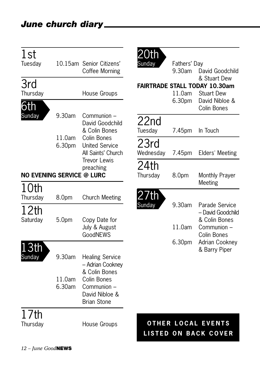| 1st<br>Tuesday                                |                   | 10.15am Senior Citizens'<br>Coffee Morning                         | )th<br>Sundav                                            | Fathers' Day<br>9.30am | David Goodchild                                                                           |
|-----------------------------------------------|-------------------|--------------------------------------------------------------------|----------------------------------------------------------|------------------------|-------------------------------------------------------------------------------------------|
| 3rd                                           |                   |                                                                    |                                                          |                        | & Stuart Dew<br><b>FAIRTRADE STALL TODAY 10.30am</b>                                      |
| Thursday                                      |                   | House Groups                                                       |                                                          | 11.0am                 | <b>Stuart Dew</b>                                                                         |
| 6th                                           |                   |                                                                    |                                                          | 6.30pm                 | David Nibloe &<br><b>Colin Bones</b>                                                      |
| <b>Sunday</b>                                 | 9.30am            | Communion -<br>David Goodchild<br>& Colin Bones                    | 22nd<br>Tuesday                                          | 7.45pm                 | In Touch                                                                                  |
|                                               | 11.0am<br>6.30pm  | Colin Bones<br><b>United Service</b><br>All Saints' Church         | 23rd<br>Wednesday                                        | 7.45pm                 | Elders' Meeting                                                                           |
|                                               |                   | <b>Trevor Lewis</b>                                                | 24th                                                     |                        |                                                                                           |
| preaching<br><b>NO EVENING SERVICE @ LURC</b> |                   |                                                                    | Thursday                                                 | 8.0pm                  | Monthly Prayer<br>Meeting                                                                 |
| 10th<br>Thursday                              | 8.0pm             | <b>Church Meeting</b>                                              | 27th                                                     |                        |                                                                                           |
| 12th<br>Saturday                              | 5.0 <sub>pm</sub> | Sunday<br>Copy Date for<br>July & August<br>GoodNEWS               |                                                          | 9.30am<br>11.0am       | Parade Service<br>- David Goodchild<br>& Colin Bones<br>Communion -<br><b>Colin Bones</b> |
| 3th                                           |                   |                                                                    |                                                          | 6.30pm                 | Adrian Cookney                                                                            |
| Sunday                                        | 9.30am            | <b>Healing Service</b><br>- Adrian Cookney<br>& Colin Bones        |                                                          |                        | & Barry Piper                                                                             |
|                                               | 11.0am<br>6.30am  | Colin Bones<br>Communion –<br>David Nibloe &<br><b>Brian Stone</b> |                                                          |                        |                                                                                           |
| 17th<br>Thursday                              |                   | House Groups                                                       | <b>OTHER LOCAL EVENTS</b><br><b>LISTED ON BACK COVER</b> |                        |                                                                                           |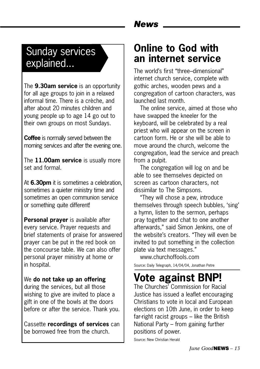### Sunday services explained...

The **9.30am service** is an opportunity for all age groups to join in a relaxed informal time. There is a crèche, and after about 20 minutes children and young people up to age 14 go out to their own groups on most Sundays.

**Coffee** is normally served between the morning services and after the evening one.

The **11.00am service** is usually more set and formal.

At **6.30pm** it is sometimes a celebration, sometimes a quieter ministry time and sometimes an open communion service or something quite different!

**Personal prayer** is available after every service. Prayer requests and brief statements of praise for answered prayer can be put in the red book on the concourse table. We can also offer personal prayer ministry at home or in hospital.

### We **do not take up an offering**

during the services, but all those wishing to give are invited to place a gift in one of the bowls at the doors before or after the service. Thank you.

Cassette **recordings of services** can be borrowed free from the church.

### *News*

### **Online to God with an internet service**

The world's first "three–dimensional" internet church service, complete with gothic arches, wooden pews and a congregation of cartoon characters, was launched last month.

The online service, aimed at those who have swapped the kneeler for the keyboard, will be celebrated by a real priest who will appear on the screen in cartoon form. He or she will be able to move around the church, welcome the congregation, lead the service and preach from a pulpit.

The congregation will log on and be able to see themselves depicted on screen as cartoon characters, not dissimilar to The Simpsons.

"They will chose a pew, introduce themselves through speech bubbles, 'sing' a hymn, listen to the sermon, perhaps pray together and chat to one another afterwards," said Simon Jenkins, one of the website's creators. "They will even be invited to put something in the collection plate via text messages."

www.churchoffools.com Source: Daily Telegraph, 14/04/04, Jonathan Petre

### **Vote against BNP!**

The Churches' Commission for Racial Justice has issued a leaflet encouraging Christians to vote in local and European elections on 10th June, in order to keep far-right racist groups – like the British National Party – from gaining further positions of power.

Source: New Christian Herald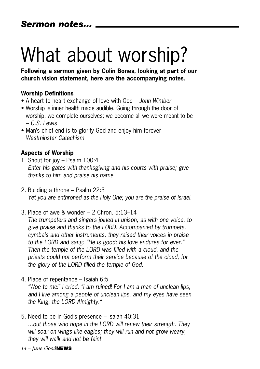## What about worship?

**Following a sermon given by Colin Bones, looking at part of our church vision statement, here are the accompanying notes.**

### **Worship Definitions**

- A heart to heart exchange of love with God *John Wimber*
- Worship is inner health made audible. Going through the door of worship, we complete ourselves; we become all we were meant to be – *C.S. Lewis*
- Man's chief end is to glorify God and enjoy him forever *Westminster Catechism*

### **Aspects of Worship**

- 1. Shout for joy Psalm 100:4 *Enter his gates with thanksgiving and his courts with praise; give thanks to him and praise his name.*
- 2. Building a throne Psalm 22:3 *Yet you are enthroned as the Holy One; you are the praise of Israel.*
- 3. Place of awe & wonder 2 Chron. 5:13–14 *The trumpeters and singers joined in unison, as with one voice, to give praise and thanks to the LORD. Accompanied by trumpets, cymbals and other instruments, they raised their voices in praise to the LORD and sang: "He is good; his love endures for ever." Then the temple of the LORD was filled with a cloud, and the priests could not perform their service because of the cloud, for the glory of the LORD filled the temple of God.*
- 4. Place of repentance Isaiah 6:5

*"Woe to me!" I cried. "I am ruined! For I am a man of unclean lips, and I live among a people of unclean lips, and my eyes have seen the King, the LORD Almighty."*

- 5. Need to be in God's presence Isaiah 40:31 *...but those who hope in the LORD will renew their strength. They will soar on wings like eagles; they will run and not grow weary, they will walk and not be faint.*
- *14 June Good***NEWS**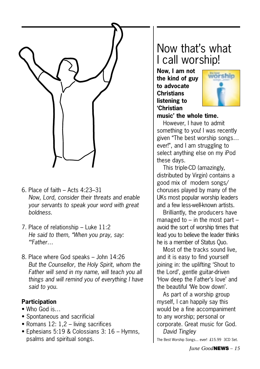

- 6. Place of faith Acts 4:23–31 *Now, Lord, consider their threats and enable your servants to speak your word with great boldness.*
- 7. Place of relationship Luke 11:2 *He said to them, "When you pray, say: "'Father…*
- 8. Place where God speaks John 14:26 *But the Counsellor, the Holy Spirit, whom the Father will send in my name, will teach you all things and will remind you of everything I have said to you.*

### **Participation**

- Who God is...
- Spontaneous and sacrificial
- Romans 12: 1,2 living sacrifices
- Ephesians 5:19 & Colossians 3: 16 Hymns, psalms and spiritual songs.

### Now that's what I call worship!

**Now, I am not the kind of guy to advocate Christians listening to 'Christian**



**music' the whole time.** 

However, I have to admit something to you! I was recently given "The best worship songs… ever!", and I am struggling to select anything else on my iPod these days.

This triple-CD (amazingly, distributed by Virgin) contains a good mix of modern songs/ choruses played by many of the UKs most popular worship leaders and a few less-well-known artists.

Brilliantly, the producers have managed to  $-$  in the most part  $$ avoid the sort of worship times that lead you to believe the leader thinks he is a member of Status Quo.

Most of the tracks sound live, and it is easy to find yourself joining in: the uplifting 'Shout to the Lord', gentle guitar-driven 'How deep the Father's love' and the beautiful 'We bow down'.

As part of a worship group myself, I can happily say this would be a fine accompaniment to any worship; personal or corporate. Great music for God. *David Tingley*

The Best Worship Songs... ever! £15.99 3CD Set.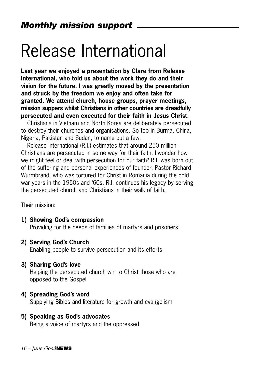## Release International

**Last year we enjoyed a presentation by Clare from Release International, who told us about the work they do and their vision for the future. I was greatly moved by the presentation and struck by the freedom we enjoy and often take for granted. We attend church, house groups, prayer meetings, mission suppers whilst Christians in other countries are dreadfully persecuted and even executed for their faith in Jesus Christ.**

Christians in Vietnam and North Korea are deliberately persecuted to destroy their churches and organisations. So too in Burma, China, Nigeria, Pakistan and Sudan, to name but a few.

Release International (R.I.) estimates that around 250 million Christians are persecuted in some way for their faith. I wonder how we might feel or deal with persecution for our faith? R.I. was born out of the suffering and personal experiences of founder, Pastor Richard Wurmbrand, who was tortured for Christ in Romania during the cold war years in the 1950s and '60s. R.I. continues his legacy by serving the persecuted church and Christians in their walk of faith.

Their mission:

#### **1) Showing God's compassion**

Providing for the needs of families of martyrs and prisoners

#### **2) Serving God's Church**

Enabling people to survive persecution and its efforts

#### **3) Sharing God's love**

Helping the persecuted church win to Christ those who are opposed to the Gospel

#### **4) Spreading God's word**

Supplying Bibles and literature for growth and evangelism

#### **5) Speaking as God's advocates**

Being a voice of martyrs and the oppressed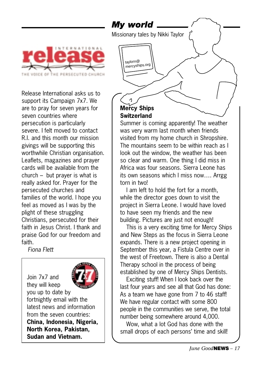

Release International asks us to support its Campaign 7x7. We are to pray for seven years for seven countries where persecution is particularly severe. I felt moved to contact R.I. and this month our mission givings will be supporting this worthwhile Christian organisation. Leaflets, magazines and prayer cards will be available from the church – but prayer is what is really asked for. Prayer for the persecuted churches and families of the world. I hope you feel as moved as I was by the plight of these struggling Christians, persecuted for their faith in Jesus Christ. I thank and praise God for our freedom and faith.

*Fiona Flett*

Join 7x7 and they will keep you up to date by fortnightly email with the latest news and information from the seven countries: **China, Indonesia, Nigeria, North Korea, Pakistan, Sudan and Vietnam.**



### **Switzerland**

Summer is coming apparently! The weather was very warm last month when friends visited from my home church in Shropshire. The mountains seem to be within reach as I look out the window, the weather has been so clear and warm. One thing I did miss in Africa was four seasons. Sierra Leone has its own seasons which I miss now…. Arrgg torn in two!

I am left to hold the fort for a month, while the director goes down to visit the project in Sierra Leone. I would have loved to have seen my friends and the new building. Pictures are just not enough!

This is a very exciting time for Mercy Ships and New Steps as the focus in Sierra Leone expands. There is a new project opening in September this year, a Fistula Centre over in the west of Freetown. There is also a Dental Therapy school in the process of being established by one of Mercy Ships Dentists.

Exciting stuff! When I look back over the last four years and see all that God has done: As a team we have gone from 7 to 46 staff! We have regular contact with some 800 people in the communities we serve, the total number being somewhere around 4,000.

Wow, what a lot God has done with the small drops of each persons' time and skill!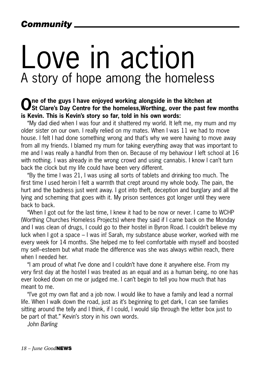### *Community*

## Love in action A story of hope among the homeless

### **One of the guys I have enjoyed working alongside in the kitchen at St Clare's Day Centre for the homeless,Worthing, over the past few months is Kevin. This is Kevin's story so far, told in his own words:**

"My dad died when I was four and it shattered my world. It left me, my mum and my older sister on our own. I really relied on my mates. When I was 11 we had to move house. I felt I had done something wrong and that's why we were having to move away from all my friends. I blamed my mum for taking everything away that was important to me and I was really a handful from then on. Because of my behaviour I left school at 16 with nothing. I was already in the wrong crowd and using cannabis. I know I can't turn back the clock but my life could have been very different.

"By the time I was 21, I was using all sorts of tablets and drinking too much. The first time I used heroin I felt a warmth that crept around my whole body. The pain, the hurt and the badness just went away. I got into theft, deception and burglary and all the lying and scheming that goes with it. My prison sentences got longer until they were back to back.

"When I got out for the last time, I knew it had to be now or never. I came to WCHP (Worthing Churches Homeless Projects) where they said if I came back on the Monday and I was clean of drugs, I could go to their hostel in Byron Road. I couldn't believe my luck when I got a space – I was in! Sarah, my substance abuse worker, worked with me every week for 14 months. She helped me to feel comfortable with myself and boosted my self–esteem but what made the difference was she was always within reach, there when I needed her.

"I am proud of what I've done and I couldn't have done it anywhere else. From my very first day at the hostel I was treated as an equal and as a human being, no one has ever looked down on me or judged me. I can't begin to tell you how much that has meant to me.

"I've got my own flat and a job now. I would like to have a family and lead a normal life. When I walk down the road, just as it's beginning to get dark, I can see families sitting around the telly and I think, if I could, I would slip through the letter box just to be part of that." Kevin's story in his own words.

*John Barling*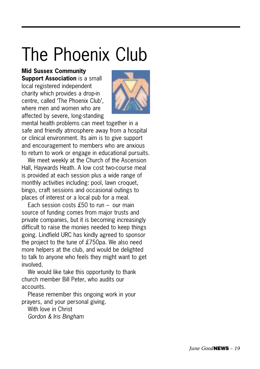## The Phoenix Club

**Mid Sussex Community**

**Support Association** is a small local registered independent charity which provides a drop-in centre, called 'The Phoenix Club', where men and women who are affected by severe, long-standing



mental health problems can meet together in a safe and friendly atmosphere away from a hospital or clinical environment. Its aim is to give support and encouragement to members who are anxious to return to work or engage in educational pursuits.

We meet weekly at the Church of the Ascension Hall, Haywards Heath. A low cost two-course meal is provided at each session plus a wide range of monthly activities including: pool, lawn croquet, bingo, craft sessions and occasional outings to places of interest or a local pub for a meal.

Each session costs £50 to run – our main source of funding comes from major trusts and private companies, but it is becoming increasingly difficult to raise the monies needed to keep things going. Lindfield URC has kindly agreed to sponsor the project to the tune of £750pa. We also need more helpers at the club, and would be delighted to talk to anyone who feels they might want to get involved.

We would like take this opportunity to thank church member Bill Peter, who audits our accounts.

Please remember this ongoing work in your prayers, and your personal giving.

With love in Christ *Gordon & Iris Bingham*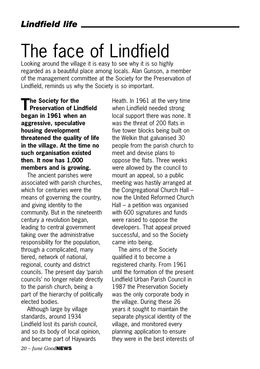## The face of Lindfield

Looking around the village it is easy to see why it is so highly regarded as a beautiful place among locals. Alan Gunson, a member of the management committee at the Society for the Preservation of Lindfield, reminds us why the Society is so important.

**The Society for the Preservation of Lindfield began in 1961 when an aggressive, speculative housing development threatened the quality of life in the village. At the time no such organisation existed then. It now has 1,000 members and is growing.** 

The ancient parishes were associated with parish churches, which for centuries were the means of governing the country, and giving identity to the community. But in the nineteenth century a revolution began, leading to central government taking over the administrative responsibility for the population, through a complicated, many tiered, network of national, regional, county and district councils. The present day 'parish councils' no longer relate directly to the parish church, being a part of the hierarchy of politically elected bodies.

Although large by village standards, around 1934 Lindfield lost its parish council, and so its body of local opinion, and became part of Haywards

Heath. In 1961 at the very time when Lindfield needed strong local support there was none. It was the threat of 200 flats in five tower blocks being built on the Welkin that galvanised 30 people from the parish church to meet and devise plans to oppose the flats. Three weeks were allowed by the council to mount an appeal, so a public meeting was hastily arranged at the Congregational Church Hall – now the United Reformed Church Hall – a petition was organised with 600 signatures and funds were raised to oppose the developers. That appeal proved successful, and so the Society came into being.

The aims of the Society qualified it to become a registered charity. From 1961 until the formation of the present Lindfield Urban Parish Council in 1987 the Preservation Society was the only corporate body in the village. During these 26 years it sought to maintain the separate physical identity of the village, and monitored every planning application to ensure they were in the best interests of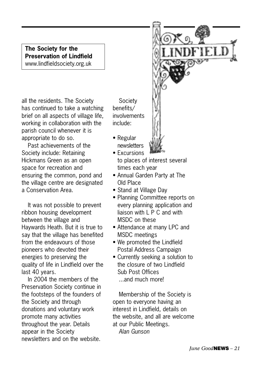**The Society for the Preservation of Lindfield** www.lindfieldsociety.org.uk

all the residents. The Society has continued to take a watching brief on all aspects of village life, working in collaboration with the parish council whenever it is appropriate to do so.

Past achievements of the Society include: Retaining Hickmans Green as an open space for recreation and ensuring the common, pond and the village centre are designated a Conservation Area.

It was not possible to prevent ribbon housing development between the village and Haywards Heath. But it is true to say that the village has benefited from the endeavours of those pioneers who devoted their energies to preserving the quality of life in Lindfield over the last 40 years.

In 2004 the members of the Preservation Society continue in the footsteps of the founders of the Society and through donations and voluntary work promote many activities throughout the year. Details appear in the Society newsletters and on the website.

Society benefits/ involvements include:

- Regular newsletters
- Excursions to places of interest several times each year
- Annual Garden Party at The Old Place
- Stand at Village Day
- Planning Committee reports on every planning application and liaison with L P C and with MSDC on these
- Attendance at many LPC and MSDC meetings
- We promoted the Lindfield Postal Address Campaign
- Currently seeking a solution to the closure of two Lindfield Sub Post Offices ...and much more!

Membership of the Society is open to everyone having an interest in Lindfield, details on the website, and all are welcome at our Public Meetings. *Alan Gunson*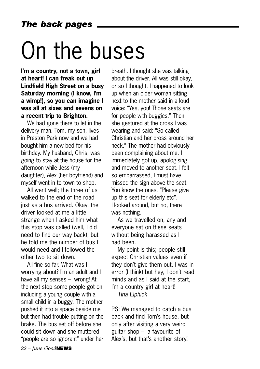# On the buses

**I'm a country, not a town, girl at heart! I can freak out up Lindfield High Street on a busy Saturday morning (I know, I'm a wimp!), so you can imagine I was all at sixes and sevens on a recent trip to Brighton.** 

We had gone there to let in the delivery man. Tom, my son, lives in Preston Park now and we had bought him a new bed for his birthday. My husband, Chris, was going to stay at the house for the afternoon while Jess (my daughter), Alex (her boyfriend) and myself went in to town to shop.

All went well; the three of us walked to the end of the road just as a bus arrived. Okay, the driver looked at me a little strange when I asked him what this stop was called (well, I did need to find our way back), but he told me the number of bus I would need and I followed the other two to sit down.

All fine so far. What was I worrying about? I'm an adult and I have all my senses – wrong! At the next stop some people got on including a young couple with a small child in a buggy. The mother pushed it into a space beside me but then had trouble putting on the brake. The bus set off before she could sit down and she muttered "people are so ignorant" under her

breath. I thought she was talking about the driver. All was still okay, or so I thought. I happened to look up when an older woman sitting next to the mother said in a loud voice: "Yes, you! Those seats are for people with buggies." Then she gestured at the cross I was wearing and said: "So called Christian and her cross around her neck." The mother had obviously been complaining about me. I immediately got up, apologising, and moved to another seat. I felt so embarrassed, I must have missed the sign above the seat. You know the ones, "Please give up this seat for elderly etc". I looked around, but no, there was nothing.

As we travelled on, any and everyone sat on these seats without being harassed as I had been.

My point is this; people still expect Christian values even if they don't give them out. I was in error (I think) but hey, I don't read minds and as I said at the start, I'm a country girl at heart! *Tina Elphick*

PS: We managed to catch a bus back and find Tom's house, but only after visiting a very weird guitar shop – a favourite of Alex's, but that's another story!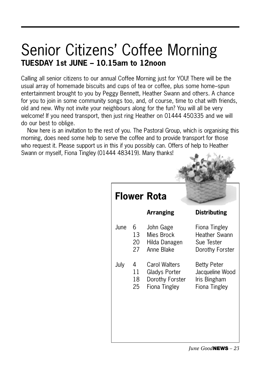### Senior Citizens' Coffee Morning **TUESDAY 1st JUNE – 10.15am to 12noon**

Calling all senior citizens to our annual Coffee Morning just for YOU! There will be the usual array of homemade biscuits and cups of tea or coffee, plus some home–spun entertainment brought to you by Peggy Bennett, Heather Swann and others. A chance for you to join in some community songs too, and, of course, time to chat with friends, old and new. Why not invite your neighbours along for the fun? You will all be very welcome! If you need transport, then just ring Heather on 01444 450335 and we will do our best to oblige.

Now here is an invitation to the rest of you. The Pastoral Group, which is organising this morning, does need some help to serve the coffee and to provide transport for those who request it. Please support us in this if you possibly can. Offers of help to Heather Swann or myself, Fiona Tingley (01444 483419). Many thanks!